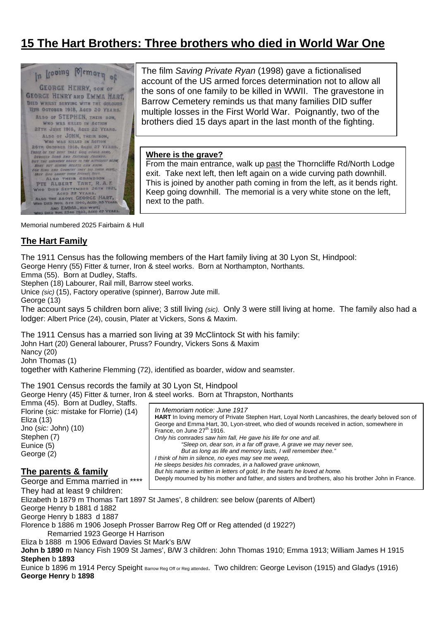# **15 The Hart Brothers: Three brothers who died in World War One**



The film *Saving Private Ryan* (1998) gave a fictionalised account of the US armed forces determination not to allow all the sons of one family to be killed in WWII. The gravestone in Barrow Cemetery reminds us that many families DID suffer multiple losses in the First World War. Poignantly, two of the brothers died 15 days apart in the last month of the fighting.

#### **Where is the grave?**

From the main entrance, walk up past the Thorncliffe Rd/North Lodge exit. Take next left, then left again on a wide curving path downhill. This is joined by another path coming in from the left, as it bends right. Keep going downhill. The memorial is a very white stone on the left, next to the path.

Memorial numbered 2025 Fairbairn & Hull

## **The Hart Family**

The 1911 Census has the following members of the Hart family living at 30 Lyon St, Hindpool:

George Henry (55) Fitter & turner, Iron & steel works. Born at Northampton, Northants.

Emma (55). Born at Dudley, Staffs.

Stephen (18) Labourer, Rail mill, Barrow steel works.

Unice *(sic)* (15), Factory operative (spinner), Barrow Jute mill.

George (13)

The account says 5 children born alive; 3 still living *(sic).* Only 3 were still living at home. The family also had a lodger: Albert Price (24), cousin, Plater at Vickers, Sons & Maxim.

The 1911 Census has a married son living at 39 McClintock St with his family: John Hart (20) General labourer, Pruss? Foundry, Vickers Sons & Maxim

Nancy (20)

John Thomas (1)

together with Katherine Flemming (72), identified as boarder, widow and seamster.

The 1901 Census records the family at 30 Lyon St, Hindpool

George Henry (45) Fitter & turner, Iron & steel works. Born at Thrapston, Northants

Emma (45). Born at Dudley, Staffs. Florine (*sic:* mistake for Florrie) (14) Eliza (13) Jno (*sic:* John) (10) Stephen (7) Eunice (5) George (2)

## **The parents & family**

*In Memoriam notice: June 1917*  **HART** In loving memory of Private Stephen Hart, Loyal North Lancashires, the dearly beloved son of George and Emma Hart, 30, Lyon-street, who died of wounds received in action, somewhere in France, on June  $27<sup>th</sup>$  1916. *Only his comrades saw him fall, He gave his life for one and all. "Sleep on, dear son, in a far off grave, A grave we may never see, But as long as life and memory lasts, I will remember thee." I think of him in silence, no eyes may see me weep, He sleeps besides his comrades, in a hallowed grave unknown, But his name is written in letters of gold, In the hearts he loved at home.*  Deeply mourned by his mother and father, and sisters and brothers, also his brother John in France.

George and Emma married in \*\*\*\* They had at least 9 children: Elizabeth b 1879 m Thomas Tart 1897 St James', 8 children: see below (parents of Albert) George Henry b 1881 d 1882 George Henry b 1883 d 1887 Florence b 1886 m 1906 Joseph Prosser Barrow Reg Off or Reg attended (d 1922?) Remarried 1923 George H Harrison Eliza b 1888 m 1906 Edward Davies St Mark's B/W **John b 1890** m Nancy Fish 1909 St James', B/W 3 children: John Thomas 1910; Emma 1913; William James H 1915 **Stephen** b **1893** 

Eunice b 1896 m 1914 Percy Speight Barrow Reg Off or Reg attended. Two children: George Levison (1915) and Gladys (1916) **George Henry** b **1898**